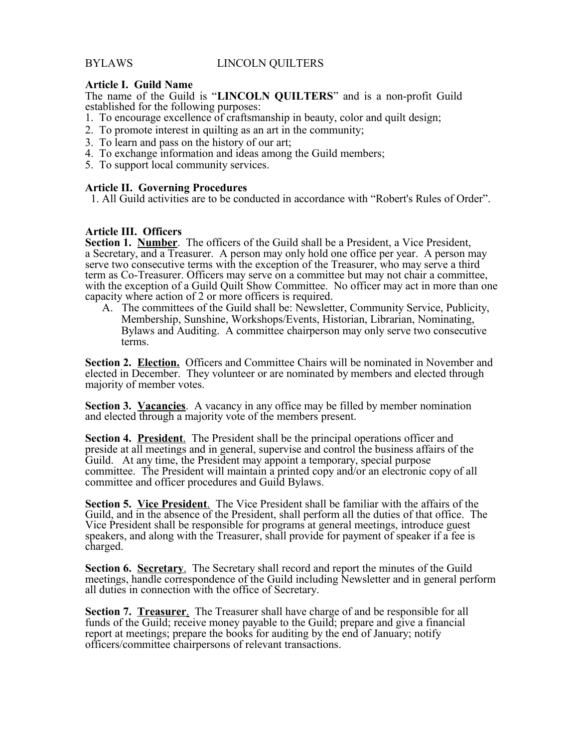# BYLAWS LINCOLN QUILTERS

### **Article I. Guild Name**

The name of the Guild is "**LINCOLN QUILTERS**" and is a non-profit Guild established for the following purposes:

- 1. To encourage excellence of craftsmanship in beauty, color and quilt design;
- 2. To promote interest in quilting as an art in the community;
- 3. To learn and pass on the history of our art;
- 4. To exchange information and ideas among the Guild members;
- 5. To support local community services.

#### **Article II. Governing Procedures**

1. All Guild activities are to be conducted in accordance with "Robert's Rules of Order".

### **Article III. Officers**

**Section 1. Number**. The officers of the Guild shall be a President, a Vice President, a Secretary, and a Treasurer. A person may only hold one office per year. A person may serve two consecutive terms with the exception of the Treasurer, who may serve a third term as Co-Treasurer. Officers may serve on a committee but may not chair a committee, with the exception of a Guild Quilt Show Committee. No officer may act in more than one capacity where action of 2 or more officers is required.

A. The committees of the Guild shall be: Newsletter, Community Service, Publicity, Membership, Sunshine, Workshops/Events, Historian, Librarian, Nominating, Bylaws and Auditing. A committee chairperson may only serve two consecutive terms.

Section 2. Election. Officers and Committee Chairs will be nominated in November and elected in December. They volunteer or are nominated by members and elected through majority of member votes.

**Section 3. Vacancies**. A vacancy in any office may be filled by member nomination and elected through a majority vote of the members present.

**Section 4. President**. The President shall be the principal operations officer and preside at all meetings and in general, supervise and control the business affairs of the Guild. At any time, the President may appoint a temporary, special purpose committee. The President will maintain a printed copy and/or an electronic copy of all committee and officer procedures and Guild Bylaws.

**Section 5. Vice President**. The Vice President shall be familiar with the affairs of the Guild, and in the absence of the President, shall perform all the duties of that office. The Vice President shall be responsible for programs at general meetings, introduce guest speakers, and along with the Treasurer, shall provide for payment of speaker if a fee is charged.

**Section 6. Secretary.** The Secretary shall record and report the minutes of the Guild meetings, handle correspondence of the Guild including Newsletter and in general perform all duties in connection with the office of Secretary.

**Section 7. Treasurer**. The Treasurer shall have charge of and be responsible for all funds of the Guild; receive money payable to the Guild; prepare and give a financial report at meetings; prepare the books for auditing by the end of January; notify officers/committee chairpersons of relevant transactions.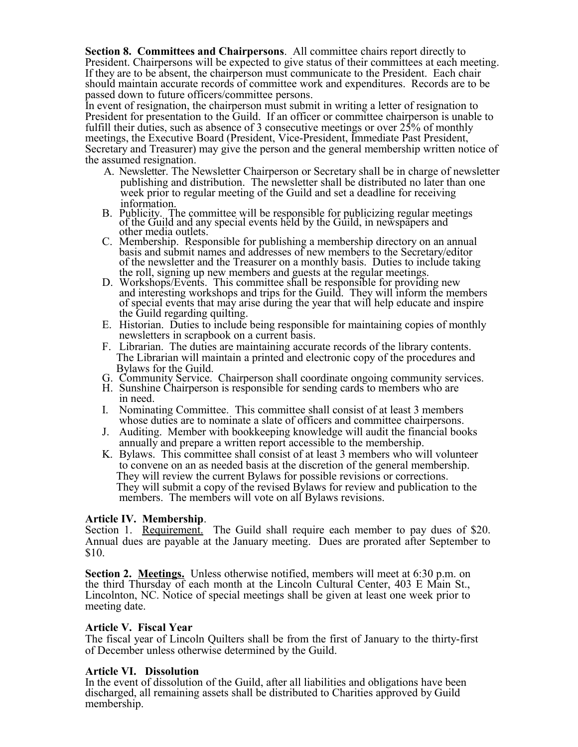**Section 8. Committees and Chairpersons**. All committee chairs report directly to President. Chairpersons will be expected to give status of their committees at each meeting. If they are to be absent, the chairperson must communicate to the President. Each chair should maintain accurate records of committee work and expenditures. Records are to be passed down to future officers/committee persons.

In event of resignation, the chairperson must submit in writing a letter of resignation to President for presentation to the Guild. If an officer or committee chairperson is unable to fulfill their duties, such as absence of 3 consecutive meetings or over 25% of monthly meetings, the Executive Board (President, Vice-President, Immediate Past President, Secretary and Treasurer) may give the person and the general membership written notice of the assumed resignation.

- A. Newsletter. The Newsletter Chairperson or Secretary shall be in charge of newsletter publishing and distribution. The newsletter shall be distributed no later than one week prior to regular meeting of the Guild and set a deadline for receiving information.
- B. Publicity. The committee will be responsible for publicizing regular meetings of the Guild and any special events held by the Guild, in newspapers and other media outlets.
- C. Membership. Responsible for publishing a membership directory on an annual basis and submit names and addresses of new members to the Secretary/editor of the newsletter and the Treasurer on a monthly basis. Duties to include taking the roll, signing up new members and guests at the regular meetings.
- D. Workshops/Events. This committee shall be responsible for providing new and interesting workshops and trips for the Guild. They will inform the members of special events that may arise during the year that will help educate and inspire the Guild regarding quilting.
- E. Historian. Duties to include being responsible for maintaining copies of monthly newsletters in scrapbook on a current basis.
- F. Librarian. The duties are maintaining accurate records of the library contents. The Librarian will maintain a printed and electronic copy of the procedures and Bylaws for the Guild.
- G. Community Service. Chairperson shall coordinate ongoing community services.
- H. Sunshine Chairperson is responsible for sending cards to members who are in need.
- I. Nominating Committee. This committee shall consist of at least 3 members whose duties are to nominate a slate of officers and committee chairpersons.
- J. Auditing. Member with bookkeeping knowledge will audit the financial books annually and prepare a written report accessible to the membership.
- K. Bylaws. This committee shall consist of at least 3 members who will volunteer to convene on an as needed basis at the discretion of the general membership. They will review the current Bylaws for possible revisions or corrections. They will submit a copy of the revised Bylaws for review and publication to the members. The members will vote on all Bylaws revisions.

# **Article IV. Membership**.

Section 1. Requirement. The Guild shall require each member to pay dues of \$20. Annual dues are payable at the January meeting. Dues are prorated after September to \$10.

Section 2. Meetings. Unless otherwise notified, members will meet at 6:30 p.m. on the third Thursday of each month at the Lincoln Cultural Center, 403 E Main St., Lincolnton, NC. Notice of special meetings shall be given at least one week prior to meeting date.

### **Article V. Fiscal Year**

The fiscal year of Lincoln Quilters shall be from the first of January to the thirty-first of December unless otherwise determined by the Guild.

### **Article VI. Dissolution**

In the event of dissolution of the Guild, after all liabilities and obligations have been discharged, all remaining assets shall be distributed to Charities approved by Guild membership.